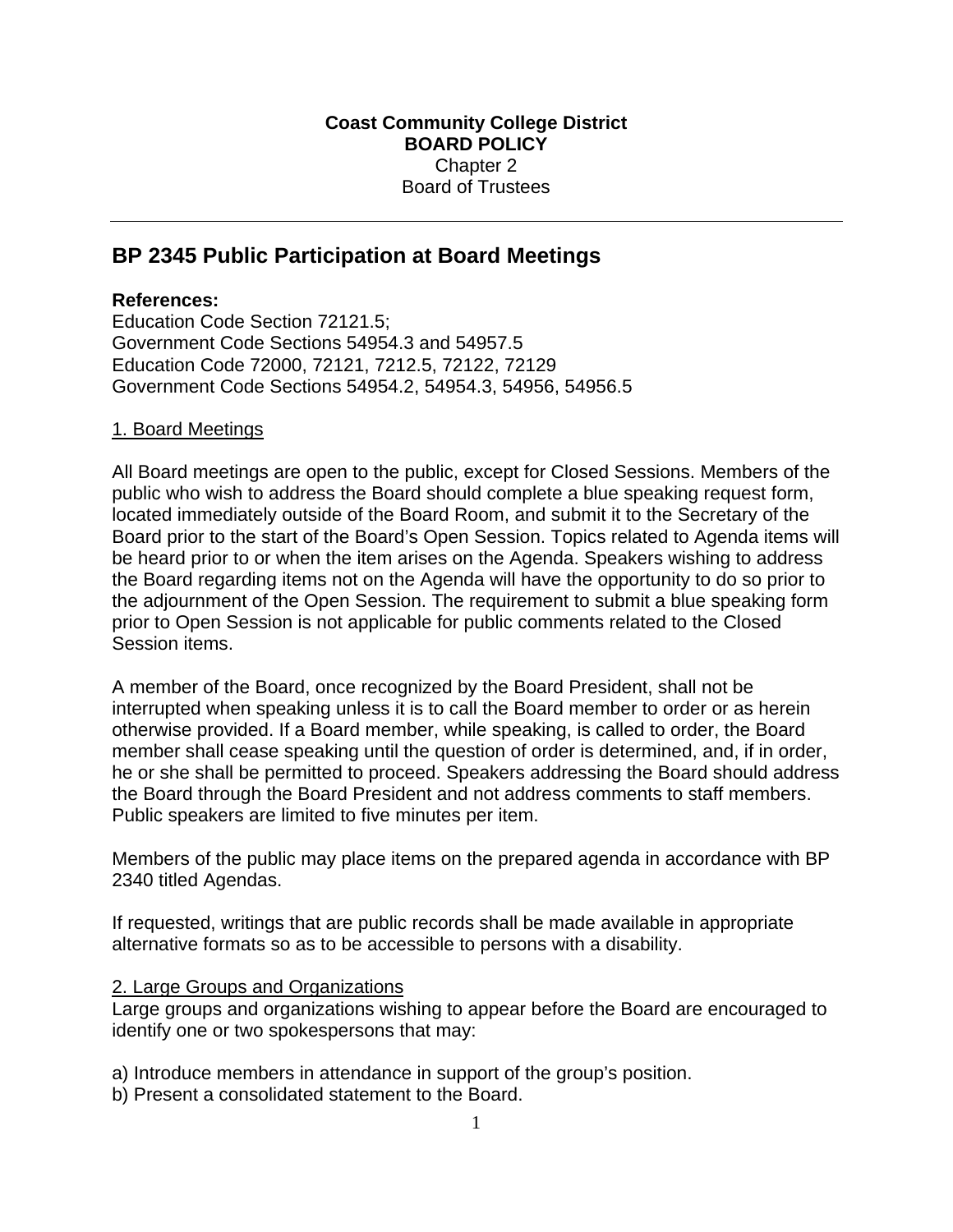# **BP 2345 Public Participation at Board Meetings**

## **References:**

Education Code Section 72121.5; Government Code Sections 54954.3 and 54957.5 Education Code 72000, 72121, 7212.5, 72122, 72129 Government Code Sections 54954.2, 54954.3, 54956, 54956.5

### 1. Board Meetings

All Board meetings are open to the public, except for Closed Sessions. Members of the public who wish to address the Board should complete a blue speaking request form, located immediately outside of the Board Room, and submit it to the Secretary of the Board prior to the start of the Board's Open Session. Topics related to Agenda items will be heard prior to or when the item arises on the Agenda. Speakers wishing to address the Board regarding items not on the Agenda will have the opportunity to do so prior to the adjournment of the Open Session. The requirement to submit a blue speaking form prior to Open Session is not applicable for public comments related to the Closed Session items.

A member of the Board, once recognized by the Board President, shall not be interrupted when speaking unless it is to call the Board member to order or as herein otherwise provided. If a Board member, while speaking, is called to order, the Board member shall cease speaking until the question of order is determined, and, if in order, he or she shall be permitted to proceed. Speakers addressing the Board should address the Board through the Board President and not address comments to staff members. Public speakers are limited to five minutes per item.

Members of the public may place items on the prepared agenda in accordance with BP 2340 titled Agendas.

If requested, writings that are public records shall be made available in appropriate alternative formats so as to be accessible to persons with a disability.

#### 2. Large Groups and Organizations

Large groups and organizations wishing to appear before the Board are encouraged to identify one or two spokespersons that may:

a) Introduce members in attendance in support of the group's position.

b) Present a consolidated statement to the Board.